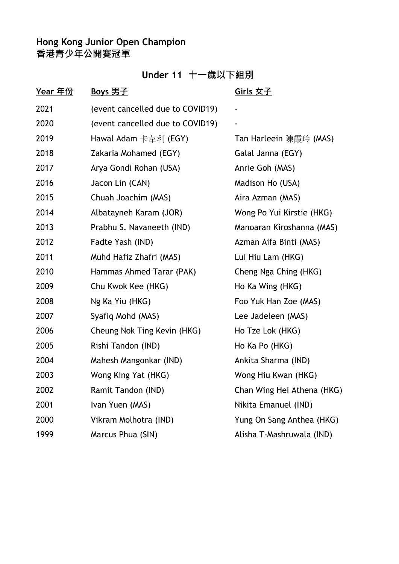# **Under 11 十一歲以下組別**

| <u>Year 年份</u> | <u>Boys 男子</u>                   | <u>Girls 女子</u>            |
|----------------|----------------------------------|----------------------------|
| 2021           | (event cancelled due to COVID19) |                            |
| 2020           | (event cancelled due to COVID19) |                            |
| 2019           | Hawal Adam 卡韋利 (EGY)             | Tan Harleein 陳霞玲 (MAS)     |
| 2018           | Zakaria Mohamed (EGY)            | Galal Janna (EGY)          |
| 2017           | Arya Gondi Rohan (USA)           | Anrie Goh (MAS)            |
| 2016           | Jacon Lin (CAN)                  | Madison Ho (USA)           |
| 2015           | Chuah Joachim (MAS)              | Aira Azman (MAS)           |
| 2014           | Albatayneh Karam (JOR)           | Wong Po Yui Kirstie (HKG)  |
| 2013           | Prabhu S. Navaneeth (IND)        | Manoaran Kiroshanna (MAS)  |
| 2012           | Fadte Yash (IND)                 | Azman Aifa Binti (MAS)     |
| 2011           | Muhd Hafiz Zhafri (MAS)          | Lui Hiu Lam (HKG)          |
| 2010           | Hammas Ahmed Tarar (PAK)         | Cheng Nga Ching (HKG)      |
| 2009           | Chu Kwok Kee (HKG)               | Ho Ka Wing (HKG)           |
| 2008           | Ng Ka Yiu (HKG)                  | Foo Yuk Han Zoe (MAS)      |
| 2007           | Syafiq Mohd (MAS)                | Lee Jadeleen (MAS)         |
| 2006           | Cheung Nok Ting Kevin (HKG)      | Ho Tze Lok (HKG)           |
| 2005           | Rishi Tandon (IND)               | Ho Ka Po (HKG)             |
| 2004           | Mahesh Mangonkar (IND)           | Ankita Sharma (IND)        |
| 2003           | Wong King Yat (HKG)              | Wong Hiu Kwan (HKG)        |
| 2002           | Ramit Tandon (IND)               | Chan Wing Hei Athena (HKG) |
| 2001           | Ivan Yuen (MAS)                  | Nikita Emanuel (IND)       |
| 2000           | Vikram Molhotra (IND)            | Yung On Sang Anthea (HKG)  |
| 1999           | Marcus Phua (SIN)                | Alisha T-Mashruwala (IND)  |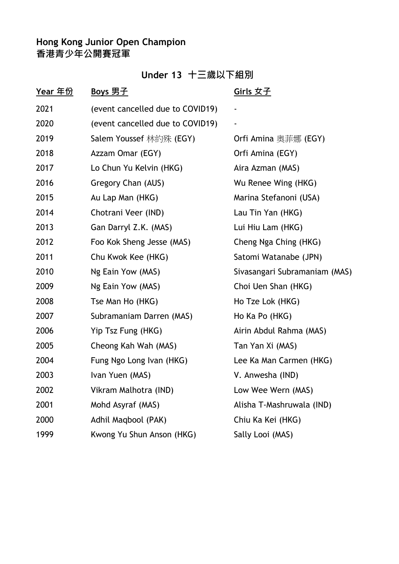# **Under 13 十三歲以下組別**

| <u>Year 年份</u> | <u>Boys 男子</u>                   | <u>Girls 女子</u>               |
|----------------|----------------------------------|-------------------------------|
| 2021           | (event cancelled due to COVID19) |                               |
| 2020           | (event cancelled due to COVID19) |                               |
| 2019           | Salem Youssef 林約殊 (EGY)          | Orfi Amina 奥菲娜 (EGY)          |
| 2018           | Azzam Omar (EGY)                 | Orfi Amina (EGY)              |
| 2017           | Lo Chun Yu Kelvin (HKG)          | Aira Azman (MAS)              |
| 2016           | Gregory Chan (AUS)               | Wu Renee Wing (HKG)           |
| 2015           | Au Lap Man (HKG)                 | Marina Stefanoni (USA)        |
| 2014           | Chotrani Veer (IND)              | Lau Tin Yan (HKG)             |
| 2013           | Gan Darryl Z.K. (MAS)            | Lui Hiu Lam (HKG)             |
| 2012           | Foo Kok Sheng Jesse (MAS)        | Cheng Nga Ching (HKG)         |
| 2011           | Chu Kwok Kee (HKG)               | Satomi Watanabe (JPN)         |
| 2010           | Ng Eain Yow (MAS)                | Sivasangari Subramaniam (MAS) |
| 2009           | Ng Eain Yow (MAS)                | Choi Uen Shan (HKG)           |
| 2008           | Tse Man Ho (HKG)                 | Ho Tze Lok (HKG)              |
| 2007           | Subramaniam Darren (MAS)         | Ho Ka Po (HKG)                |
| 2006           | Yip Tsz Fung (HKG)               | Airin Abdul Rahma (MAS)       |
| 2005           | Cheong Kah Wah (MAS)             | Tan Yan Xi (MAS)              |
| 2004           | Fung Ngo Long Ivan (HKG)         | Lee Ka Man Carmen (HKG)       |
| 2003           | Ivan Yuen (MAS)                  | V. Anwesha (IND)              |
| 2002           | Vikram Malhotra (IND)            | Low Wee Wern (MAS)            |
| 2001           | Mohd Asyraf (MAS)                | Alisha T-Mashruwala (IND)     |
| 2000           | Adhil Maqbool (PAK)              | Chiu Ka Kei (HKG)             |
| 1999           | Kwong Yu Shun Anson (HKG)        | Sally Looi (MAS)              |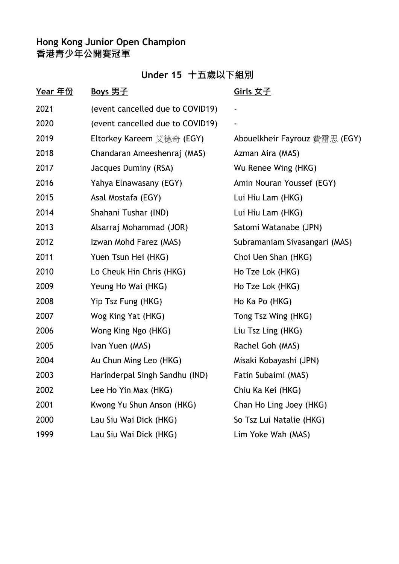# **Under 15 十五歲以下組別**

| <u>Year 年份</u> | <u>Boys 男子</u>                   | Girls 女子                      |
|----------------|----------------------------------|-------------------------------|
| 2021           | (event cancelled due to COVID19) |                               |
| 2020           | (event cancelled due to COVID19) | ۰                             |
| 2019           | Eltorkey Kareem 艾德奇 (EGY)        | Abouelkheir Fayrouz 費雷思 (EGY) |
| 2018           | Chandaran Ameeshenraj (MAS)      | Azman Aira (MAS)              |
| 2017           | Jacques Duminy (RSA)             | Wu Renee Wing (HKG)           |
| 2016           | Yahya Elnawasany (EGY)           | Amin Nouran Youssef (EGY)     |
| 2015           | Asal Mostafa (EGY)               | Lui Hiu Lam (HKG)             |
| 2014           | Shahani Tushar (IND)             | Lui Hiu Lam (HKG)             |
| 2013           | Alsarraj Mohammad (JOR)          | Satomi Watanabe (JPN)         |
| 2012           | Izwan Mohd Farez (MAS)           | Subramaniam Sivasangari (MAS) |
| 2011           | Yuen Tsun Hei (HKG)              | Choi Uen Shan (HKG)           |
| 2010           | Lo Cheuk Hin Chris (HKG)         | Ho Tze Lok (HKG)              |
| 2009           | Yeung Ho Wai (HKG)               | Ho Tze Lok (HKG)              |
| 2008           | Yip Tsz Fung (HKG)               | Ho Ka Po (HKG)                |
| 2007           | Wog King Yat (HKG)               | Tong Tsz Wing (HKG)           |
| 2006           | Wong King Ngo (HKG)              | Liu Tsz Ling (HKG)            |
| 2005           | Ivan Yuen (MAS)                  | Rachel Goh (MAS)              |
| 2004           | Au Chun Ming Leo (HKG)           | Misaki Kobayashi (JPN)        |
| 2003           | Harinderpal Singh Sandhu (IND)   | Fatin Subaimi (MAS)           |
| 2002           | Lee Ho Yin Max (HKG)             | Chiu Ka Kei (HKG)             |
| 2001           | Kwong Yu Shun Anson (HKG)        | Chan Ho Ling Joey (HKG)       |
| 2000           | Lau Siu Wai Dick (HKG)           | So Tsz Lui Natalie (HKG)      |
| 1999           | Lau Siu Wai Dick (HKG)           | Lim Yoke Wah (MAS)            |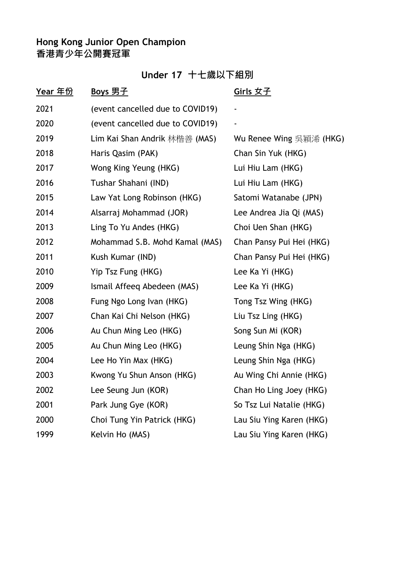# **Under 17 十七歲以下組別**

| <u>Year 年份</u> | <u>Boys 男子</u>                   | <u>Girls 女子</u>          |
|----------------|----------------------------------|--------------------------|
| 2021           | (event cancelled due to COVID19) |                          |
| 2020           | (event cancelled due to COVID19) |                          |
| 2019           | Lim Kai Shan Andrik 林楷善 (MAS)    | Wu Renee Wing 吳穎浠 (HKG)  |
| 2018           | Haris Qasim (PAK)                | Chan Sin Yuk (HKG)       |
| 2017           | Wong King Yeung (HKG)            | Lui Hiu Lam (HKG)        |
| 2016           | Tushar Shahani (IND)             | Lui Hiu Lam (HKG)        |
| 2015           | Law Yat Long Robinson (HKG)      | Satomi Watanabe (JPN)    |
| 2014           | Alsarraj Mohammad (JOR)          | Lee Andrea Jia Qi (MAS)  |
| 2013           | Ling To Yu Andes (HKG)           | Choi Uen Shan (HKG)      |
| 2012           | Mohammad S.B. Mohd Kamal (MAS)   | Chan Pansy Pui Hei (HKG) |
| 2011           | Kush Kumar (IND)                 | Chan Pansy Pui Hei (HKG) |
| 2010           | Yip Tsz Fung (HKG)               | Lee Ka Yi (HKG)          |
| 2009           | Ismail Affeeq Abedeen (MAS)      | Lee Ka Yi (HKG)          |
| 2008           | Fung Ngo Long Ivan (HKG)         | Tong Tsz Wing (HKG)      |
| 2007           | Chan Kai Chi Nelson (HKG)        | Liu Tsz Ling (HKG)       |
| 2006           | Au Chun Ming Leo (HKG)           | Song Sun Mi (KOR)        |
| 2005           | Au Chun Ming Leo (HKG)           | Leung Shin Nga (HKG)     |
| 2004           | Lee Ho Yin Max (HKG)             | Leung Shin Nga (HKG)     |
| 2003           | Kwong Yu Shun Anson (HKG)        | Au Wing Chi Annie (HKG)  |
| 2002           | Lee Seung Jun (KOR)              | Chan Ho Ling Joey (HKG)  |
| 2001           | Park Jung Gye (KOR)              | So Tsz Lui Natalie (HKG) |
| 2000           | Choi Tung Yin Patrick (HKG)      | Lau Siu Ying Karen (HKG) |
| 1999           | Kelvin Ho (MAS)                  | Lau Siu Ying Karen (HKG) |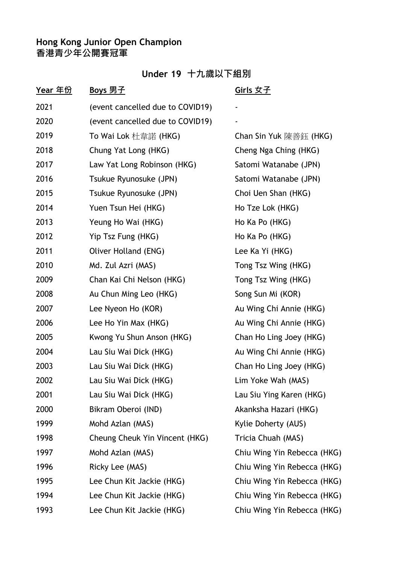## **Under 19 十九歲以下組別**

| <u>Year 年份</u> | <u>Boys 男子</u>                   | <u>Girls 女子</u>             |
|----------------|----------------------------------|-----------------------------|
| 2021           | (event cancelled due to COVID19) | -                           |
| 2020           | (event cancelled due to COVID19) |                             |
| 2019           | To Wai Lok 杜韋諾 (HKG)             | Chan Sin Yuk 陳善鈺 (HKG)      |
| 2018           | Chung Yat Long (HKG)             | Cheng Nga Ching (HKG)       |
| 2017           | Law Yat Long Robinson (HKG)      | Satomi Watanabe (JPN)       |
| 2016           | Tsukue Ryunosuke (JPN)           | Satomi Watanabe (JPN)       |
| 2015           | Tsukue Ryunosuke (JPN)           | Choi Uen Shan (HKG)         |
| 2014           | Yuen Tsun Hei (HKG)              | Ho Tze Lok (HKG)            |
| 2013           | Yeung Ho Wai (HKG)               | Ho Ka Po (HKG)              |
| 2012           | Yip Tsz Fung (HKG)               | Ho Ka Po (HKG)              |
| 2011           | Oliver Holland (ENG)             | Lee Ka Yi (HKG)             |
| 2010           | Md. Zul Azri (MAS)               | Tong Tsz Wing (HKG)         |
| 2009           | Chan Kai Chi Nelson (HKG)        | Tong Tsz Wing (HKG)         |
| 2008           | Au Chun Ming Leo (HKG)           | Song Sun Mi (KOR)           |
| 2007           | Lee Nyeon Ho (KOR)               | Au Wing Chi Annie (HKG)     |
| 2006           | Lee Ho Yin Max (HKG)             | Au Wing Chi Annie (HKG)     |
| 2005           | Kwong Yu Shun Anson (HKG)        | Chan Ho Ling Joey (HKG)     |
| 2004           | Lau Siu Wai Dick (HKG)           | Au Wing Chi Annie (HKG)     |
| 2003           | Lau Siu Wai Dick (HKG)           | Chan Ho Ling Joey (HKG)     |
| 2002           | Lau Siu Wai Dick (HKG)           | Lim Yoke Wah (MAS)          |
| 2001           | Lau Siu Wai Dick (HKG)           | Lau Siu Ying Karen (HKG)    |
| 2000           | Bikram Oberoi (IND)              | Akanksha Hazari (HKG)       |
| 1999           | Mohd Azlan (MAS)                 | Kylie Doherty (AUS)         |
| 1998           | Cheung Cheuk Yin Vincent (HKG)   | Tricia Chuah (MAS)          |
| 1997           | Mohd Azlan (MAS)                 | Chiu Wing Yin Rebecca (HKG) |
| 1996           | Ricky Lee (MAS)                  | Chiu Wing Yin Rebecca (HKG) |
| 1995           | Lee Chun Kit Jackie (HKG)        | Chiu Wing Yin Rebecca (HKG) |
| 1994           | Lee Chun Kit Jackie (HKG)        | Chiu Wing Yin Rebecca (HKG) |
| 1993           | Lee Chun Kit Jackie (HKG)        | Chiu Wing Yin Rebecca (HKG) |